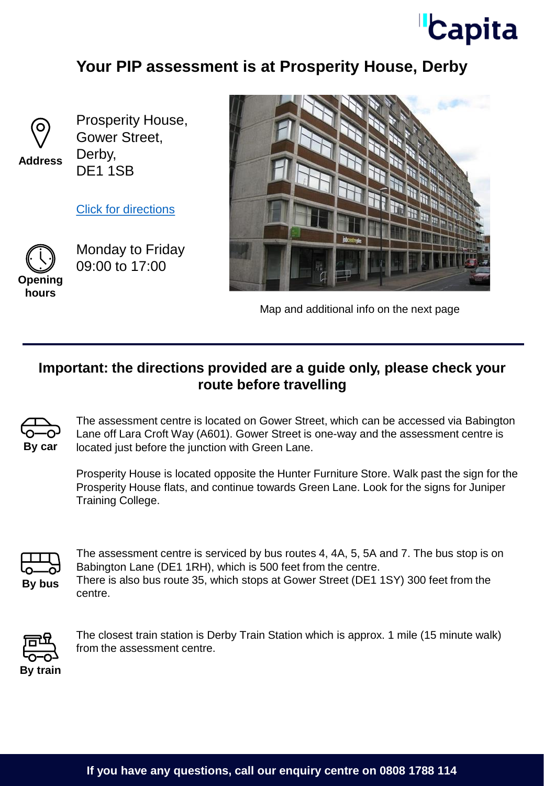## **Capita**

### **Your PIP assessment is at Prosperity House, Derby**



**Address**

Prosperity House, Gower Street, Derby, DE1 1SB

[Click for directions](https://www.google.co.uk/maps/place/Juniper+Training/@52.9197879,-1.4778626,18z/data=!4m5!3m4!1s0x4879f13d5de9bdc7:0x685ed39cfd26ee68!8m2!3d52.9198501!4d-1.4778716)



Monday to Friday 09:00 to 17:00





Map and additional info on the next page

#### **Important: the directions provided are a guide only, please check your route before travelling**



The assessment centre is located on Gower Street, which can be accessed via Babington Lane off Lara Croft Way (A601). Gower Street is one-way and the assessment centre is located just before the junction with Green Lane.

Prosperity House is located opposite the Hunter Furniture Store. Walk past the sign for the Prosperity House flats, and continue towards Green Lane. Look for the signs for Juniper Training College.



The assessment centre is serviced by bus routes 4, 4A, 5, 5A and 7. The bus stop is on Babington Lane (DE1 1RH), which is 500 feet from the centre. There is also bus route 35, which stops at Gower Street (DE1 1SY) 300 feet from the centre.



The closest train station is Derby Train Station which is approx. 1 mile (15 minute walk) from the assessment centre.